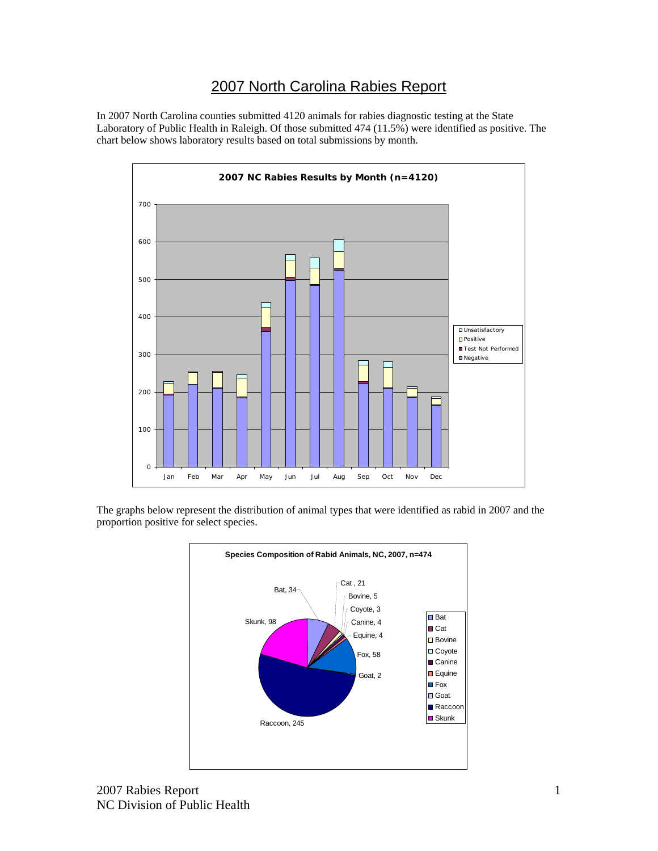## 2007 North Carolina Rabies Report

In 2007 North Carolina counties submitted 4120 animals for rabies diagnostic testing at the State Laboratory of Public Health in Raleigh. Of those submitted 474 (11.5%) were identified as positive. The chart below shows laboratory results based on total submissions by month.



The graphs below represent the distribution of animal types that were identified as rabid in 2007 and the proportion positive for select species.

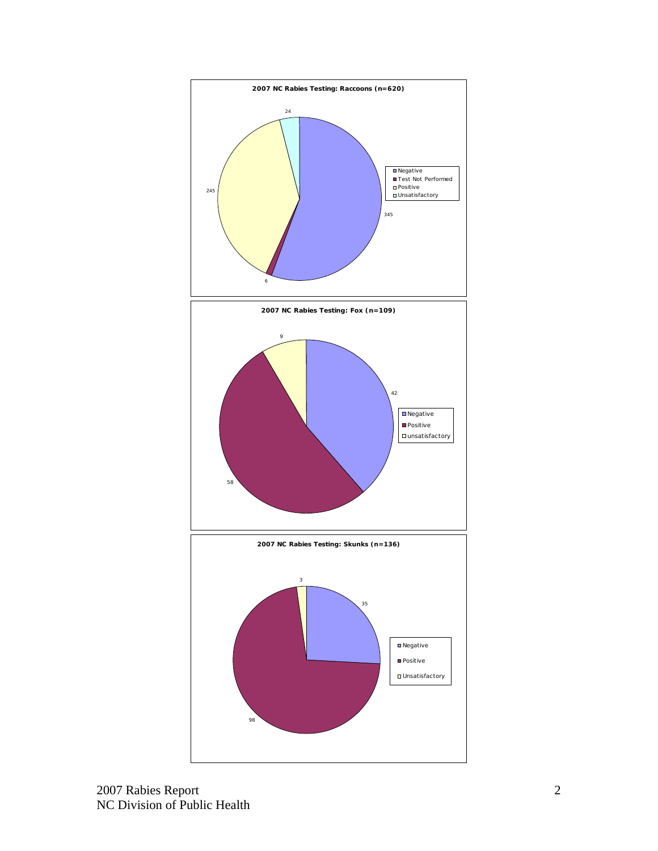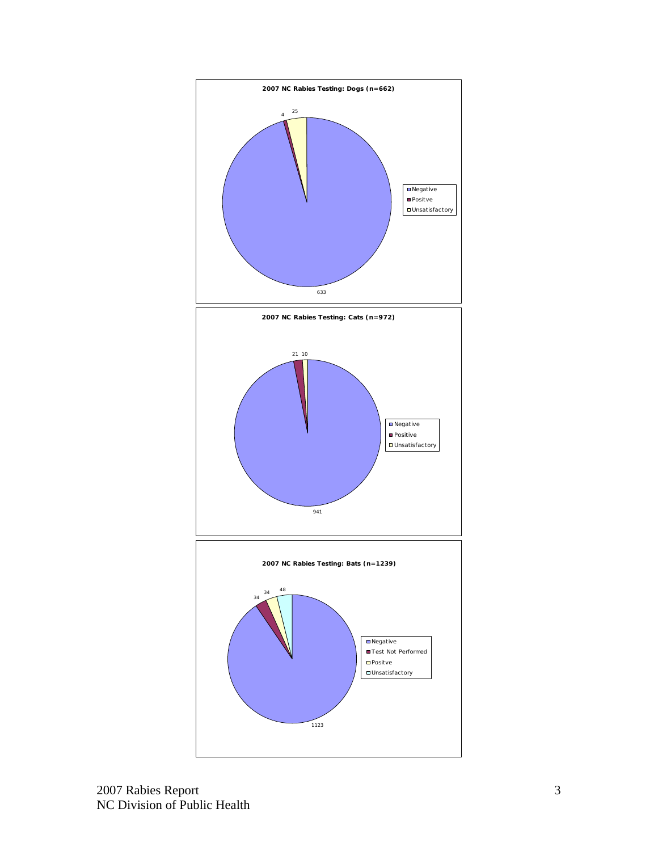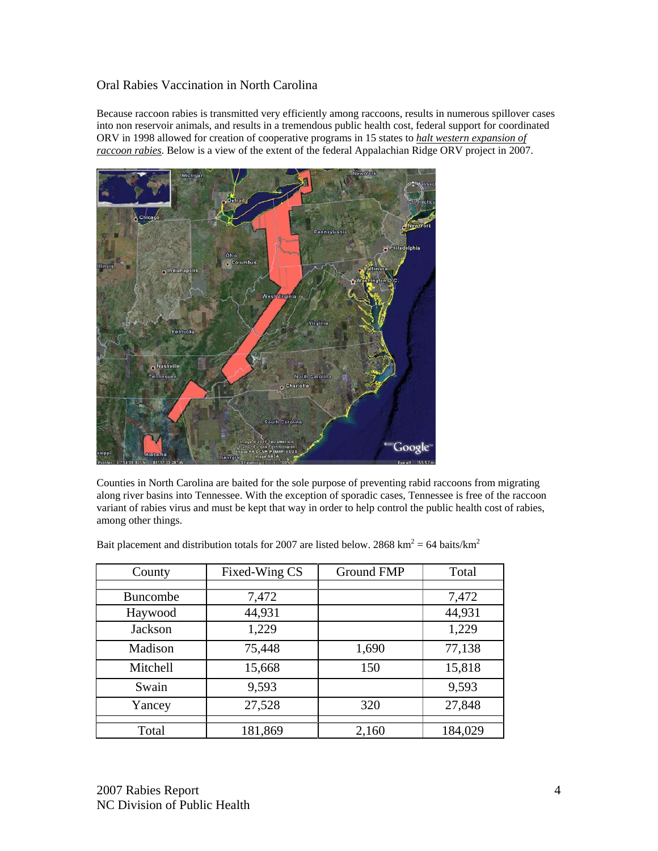## Oral Rabies Vaccination in North Carolina

Because raccoon rabies is transmitted very efficiently among raccoons, results in numerous spillover cases into non reservoir animals, and results in a tremendous public health cost, federal support for coordinated ORV in 1998 allowed for creation of cooperative programs in 15 states to *halt western expansion of raccoon rabies*. Below is a view of the extent of the federal Appalachian Ridge ORV project in 2007.



Counties in North Carolina are baited for the sole purpose of preventing rabid raccoons from migrating along river basins into Tennessee. With the exception of sporadic cases, Tennessee is free of the raccoon variant of rabies virus and must be kept that way in order to help control the public health cost of rabies, among other things.

| County          | Fixed-Wing CS | <b>Ground FMP</b> | Total   |
|-----------------|---------------|-------------------|---------|
|                 |               |                   |         |
| <b>Buncombe</b> | 7,472         |                   | 7,472   |
| Haywood         | 44,931        |                   | 44,931  |
| Jackson         | 1,229         |                   | 1,229   |
| Madison         | 75,448        | 1,690             | 77,138  |
| Mitchell        | 15,668        | 150               | 15,818  |
| Swain           | 9,593         |                   | 9,593   |
| Yancey          | 27,528        | 320               | 27,848  |
| Total           | 181,869       | 2,160             | 184,029 |

Bait placement and distribution totals for 2007 are listed below. 2868  $\text{km}^2$  = 64 baits/ $\text{km}^2$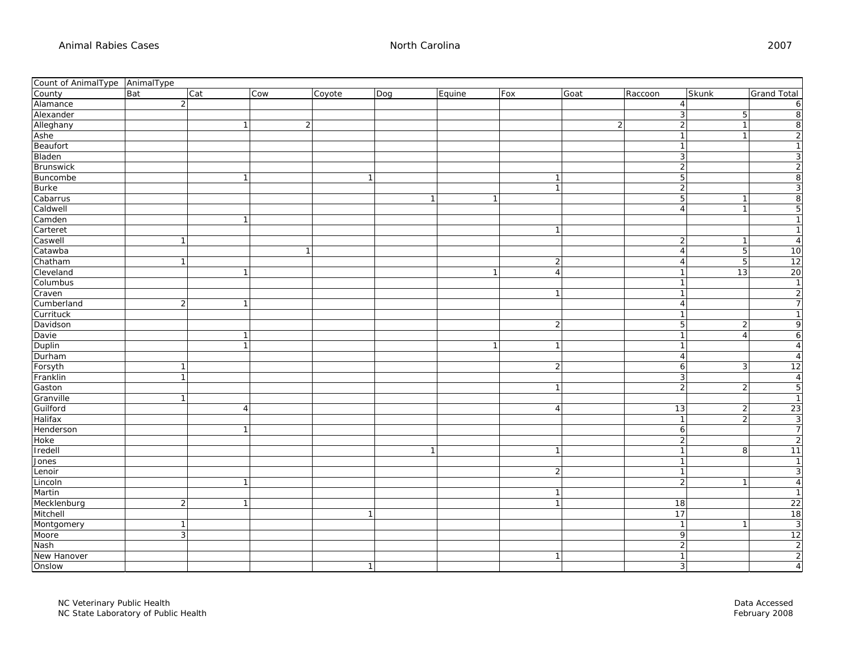| Count of AnimalType AnimalType |                |     |              |                |                |                |                |                |      |         |                                |                      |
|--------------------------------|----------------|-----|--------------|----------------|----------------|----------------|----------------|----------------|------|---------|--------------------------------|----------------------|
| County                         | Bat            | Cat | Cow          | Coyote         | Dog            | Equine         | Fox            |                | Goat | Raccoon | Skunk                          | <b>Grand Total</b>   |
| Alamance                       | $\overline{2}$ |     |              |                |                |                |                |                |      |         | $\overline{4}$                 | 6                    |
| Alexander                      |                |     |              |                |                |                |                |                |      |         | $\mathbf{3}$                   | 8<br>5 <sup>1</sup>  |
| Alleghany                      |                |     | $\mathbf{1}$ | $\overline{2}$ |                |                |                |                | 2    |         | $\sqrt{2}$<br>$\mathbf{1}$     | 8                    |
| Ashe                           |                |     |              |                |                |                |                |                |      |         | $\mathbf{1}$                   | $\overline{2}$       |
| Beaufort                       |                |     |              |                |                |                |                |                |      |         | $\overline{1}$                 |                      |
| Bladen                         |                |     |              |                |                |                |                |                |      |         | $\mathbf{3}$                   | 3                    |
| Brunswick                      |                |     |              |                |                |                |                |                |      |         | 2                              | $\overline{2}$       |
| Buncombe                       |                |     | $\mathbf{1}$ |                | $\overline{1}$ |                |                | $\overline{1}$ |      |         | $\mathbf 5$                    | 8                    |
| <b>Burke</b>                   |                |     |              |                |                |                |                | $\vert$ 1      |      |         | $\overline{2}$                 | 3                    |
| Cabarrus                       |                |     |              |                |                | $\overline{1}$ | $\mathbf{1}$   |                |      |         | $\mathbf 5$                    | 8                    |
| Caldwell                       |                |     |              |                |                |                |                |                |      |         | $\overline{4}$<br>$\mathbf{1}$ | $5\vert$             |
| Camden                         |                |     | 1            |                |                |                |                |                |      |         |                                | $\mathbf{1}$         |
| Carteret                       |                |     |              |                |                |                |                | $\overline{1}$ |      |         |                                | 1                    |
| Caswell                        | $\mathbf{1}$   |     |              |                |                |                |                |                |      |         | $\overline{2}$                 | $\overline{4}$       |
| Catawba                        |                |     |              | $\overline{1}$ |                |                |                |                |      |         | 5<br>$\overline{4}$            | 10                   |
| Chatham                        | $\mathbf{1}$   |     |              |                |                |                |                | $\overline{2}$ |      |         | $\overline{4}$                 | 12<br>5              |
| Cleveland                      |                |     | $\mathbf{1}$ |                |                |                | $\overline{1}$ | $\overline{4}$ |      |         | 13<br>$\overline{1}$           | 20                   |
| Columbus                       |                |     |              |                |                |                |                |                |      |         | $\mathbf{1}$                   | $\mathbf{1}$         |
| Craven                         |                |     |              |                |                |                |                | $\vert$ 1      |      |         | $\mathbf{1}$                   | $\overline{2}$       |
| Cumberland                     | 2              |     | $\mathbf{1}$ |                |                |                |                |                |      |         | $\overline{4}$                 | $\overline{7}$       |
| Currituck                      |                |     |              |                |                |                |                |                |      |         | $\mathbf{1}$                   | $\mathbf{1}$         |
| Davidson                       |                |     |              |                |                |                |                | $\vert$ 2      |      |         | $5\phantom{.0}$                | 9<br>$\overline{2}$  |
| Davie                          |                |     | $\mathbf{1}$ |                |                |                |                |                |      |         | $\overline{1}$<br>$\Delta$     | 6                    |
| Duplin                         |                |     | $\mathbf{1}$ |                |                |                | $\mathbf{1}$   | $\vert$ 1      |      |         | $\mathbf{1}$                   | $\overline{4}$       |
| Durham                         |                |     |              |                |                |                |                |                |      |         | $\overline{4}$                 | $\overline{4}$       |
| Forsyth                        | $\overline{1}$ |     |              |                |                |                |                | $\overline{2}$ |      |         | 6                              | 12<br>3              |
| Franklin                       | $\mathbf{1}$   |     |              |                |                |                |                |                |      |         | س                              | $\overline{4}$       |
| Gaston                         |                |     |              |                |                |                |                | $\overline{1}$ |      |         | 2                              | 5<br>$\overline{2}$  |
| Granville                      | $\mathbf{1}$   |     |              |                |                |                |                |                |      |         |                                | $\overline{1}$       |
| Guilford                       |                |     | 4            |                |                |                |                | $\overline{4}$ |      |         | 13<br>2                        | 23                   |
| Halifax                        |                |     |              |                |                |                |                |                |      |         | $\mathbf{1}$                   | دى<br>$\overline{2}$ |
| Henderson                      |                |     | 1            |                |                |                |                |                |      |         | 6                              | $7\overline{}$       |
| Hoke                           |                |     |              |                |                |                |                |                |      |         | $\overline{2}$                 | $\overline{2}$       |
| Iredell                        |                |     |              |                |                | $\mathbf{1}$   |                | $\overline{1}$ |      |         | $\overline{1}$                 | 11<br>8              |
| Jones                          |                |     |              |                |                |                |                |                |      |         | $\mathbf{1}$                   | $\mathbf{1}$         |
| Lenoir                         |                |     |              |                |                |                |                | $\vert$ 2      |      |         | $\overline{1}$                 | 3                    |
| Lincoln                        |                |     | $\mathbf{1}$ |                |                |                |                |                |      |         | $\overline{2}$<br>$\mathbf{1}$ | $\overline{4}$       |
| Martin                         |                |     |              |                |                |                |                | $\overline{1}$ |      |         |                                | $\mathbf{1}$         |
| Mecklenburg                    | $\overline{2}$ |     | $\mathbf{1}$ |                |                |                |                | $\vert$ 1      |      |         | 18                             | 22                   |
| Mitchell                       |                |     |              |                | $\mathbf{1}$   |                |                |                |      |         | 17                             | 18                   |
| Montgomery                     | $\mathbf{1}$   |     |              |                |                |                |                |                |      |         | $\overline{1}$                 | دى                   |
| Moore                          | $\mathbf{3}$   |     |              |                |                |                |                |                |      |         | -9                             | 12                   |
| Nash                           |                |     |              |                |                |                |                |                |      |         | 2                              | $\overline{2}$       |
| New Hanover                    |                |     |              |                |                |                |                | $\overline{1}$ |      |         | $\overline{1}$                 | $\overline{2}$       |
| Onslow                         |                |     |              |                | $\vert$ 1      |                |                |                |      |         | 3 <sup>1</sup>                 | $\overline{4}$       |